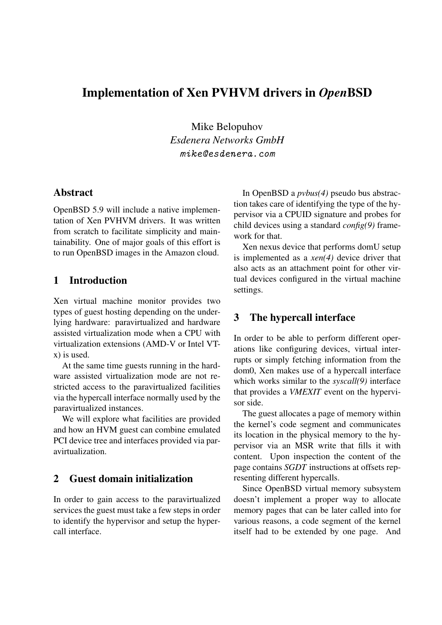# Implementation of Xen PVHVM drivers in *Open*BSD

Mike Belopuhov *Esdenera Networks GmbH* mike@esdenera.com

### Abstract

OpenBSD 5.9 will include a native implementation of Xen PVHVM drivers. It was written from scratch to facilitate simplicity and maintainability. One of major goals of this effort is to run OpenBSD images in the Amazon cloud.

## 1 Introduction

Xen virtual machine monitor provides two types of guest hosting depending on the underlying hardware: paravirtualized and hardware assisted virtualization mode when a CPU with virtualization extensions (AMD-V or Intel VTx) is used.

At the same time guests running in the hardware assisted virtualization mode are not restricted access to the paravirtualized facilities via the hypercall interface normally used by the paravirtualized instances.

We will explore what facilities are provided and how an HVM guest can combine emulated PCI device tree and interfaces provided via paravirtualization.

### 2 Guest domain initialization

In order to gain access to the paravirtualized services the guest must take a few steps in order to identify the hypervisor and setup the hypercall interface.

In OpenBSD a *pvbus(4)* pseudo bus abstraction takes care of identifying the type of the hypervisor via a CPUID signature and probes for child devices using a standard *config(9)* framework for that.

Xen nexus device that performs domU setup is implemented as a *xen(4)* device driver that also acts as an attachment point for other virtual devices configured in the virtual machine settings.

# 3 The hypercall interface

In order to be able to perform different operations like configuring devices, virtual interrupts or simply fetching information from the dom0, Xen makes use of a hypercall interface which works similar to the *syscall(9)* interface that provides a *VMEXIT* event on the hypervisor side.

The guest allocates a page of memory within the kernel's code segment and communicates its location in the physical memory to the hypervisor via an MSR write that fills it with content. Upon inspection the content of the page contains *SGDT* instructions at offsets representing different hypercalls.

Since OpenBSD virtual memory subsystem doesn't implement a proper way to allocate memory pages that can be later called into for various reasons, a code segment of the kernel itself had to be extended by one page. And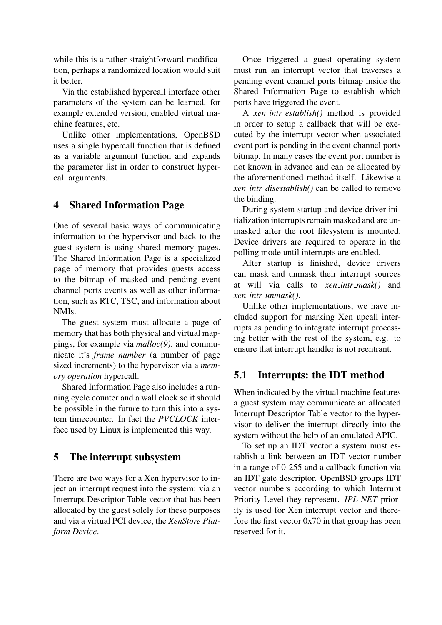while this is a rather straightforward modification, perhaps a randomized location would suit it better.

Via the established hypercall interface other parameters of the system can be learned, for example extended version, enabled virtual machine features, etc.

Unlike other implementations, OpenBSD uses a single hypercall function that is defined as a variable argument function and expands the parameter list in order to construct hypercall arguments.

# 4 Shared Information Page

One of several basic ways of communicating information to the hypervisor and back to the guest system is using shared memory pages. The Shared Information Page is a specialized page of memory that provides guests access to the bitmap of masked and pending event channel ports events as well as other information, such as RTC, TSC, and information about NMIs.

The guest system must allocate a page of memory that has both physical and virtual mappings, for example via *malloc(9)*, and communicate it's *frame number* (a number of page sized increments) to the hypervisor via a *memory operation* hypercall.

Shared Information Page also includes a running cycle counter and a wall clock so it should be possible in the future to turn this into a system timecounter. In fact the *PVCLOCK* interface used by Linux is implemented this way.

# 5 The interrupt subsystem

There are two ways for a Xen hypervisor to inject an interrupt request into the system: via an Interrupt Descriptor Table vector that has been allocated by the guest solely for these purposes and via a virtual PCI device, the *XenStore Platform Device*.

Once triggered a guest operating system must run an interrupt vector that traverses a pending event channel ports bitmap inside the Shared Information Page to establish which ports have triggered the event.

A *xen intr establish()* method is provided in order to setup a callback that will be executed by the interrupt vector when associated event port is pending in the event channel ports bitmap. In many cases the event port number is not known in advance and can be allocated by the aforementioned method itself. Likewise a *xen intr disestablish()* can be called to remove the binding.

During system startup and device driver initialization interrupts remain masked and are unmasked after the root filesystem is mounted. Device drivers are required to operate in the polling mode until interrupts are enabled.

After startup is finished, device drivers can mask and unmask their interrupt sources at will via calls to *xen intr mask()* and *xen intr unmask()*.

Unlike other implementations, we have included support for marking Xen upcall interrupts as pending to integrate interrupt processing better with the rest of the system, e.g. to ensure that interrupt handler is not reentrant.

# 5.1 Interrupts: the IDT method

When indicated by the virtual machine features a guest system may communicate an allocated Interrupt Descriptor Table vector to the hypervisor to deliver the interrupt directly into the system without the help of an emulated APIC.

To set up an IDT vector a system must establish a link between an IDT vector number in a range of 0-255 and a callback function via an IDT gate descriptor. OpenBSD groups IDT vector numbers according to which Interrupt Priority Level they represent. *IPL NET* priority is used for Xen interrupt vector and therefore the first vector  $0x70$  in that group has been reserved for it.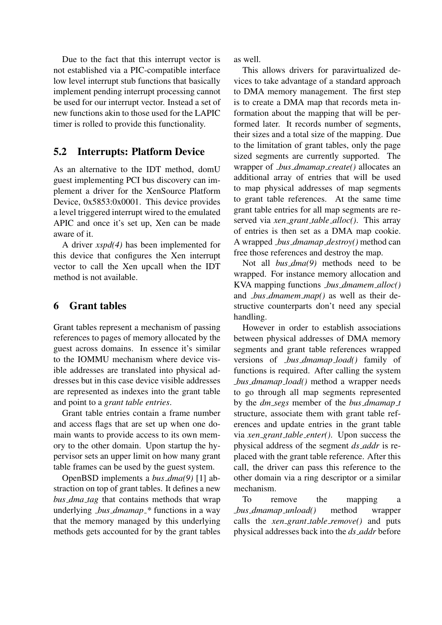Due to the fact that this interrupt vector is not established via a PIC-compatible interface low level interrupt stub functions that basically implement pending interrupt processing cannot be used for our interrupt vector. Instead a set of new functions akin to those used for the LAPIC timer is rolled to provide this functionality.

## 5.2 Interrupts: Platform Device

As an alternative to the IDT method, domU guest implementing PCI bus discovery can implement a driver for the XenSource Platform Device, 0x5853:0x0001. This device provides a level triggered interrupt wired to the emulated APIC and once it's set up, Xen can be made aware of it.

A driver *xspd(4)* has been implemented for this device that configures the Xen interrupt vector to call the Xen upcall when the IDT method is not available.

# 6 Grant tables

Grant tables represent a mechanism of passing references to pages of memory allocated by the guest across domains. In essence it's similar to the IOMMU mechanism where device visible addresses are translated into physical addresses but in this case device visible addresses are represented as indexes into the grant table and point to a *grant table entries*.

Grant table entries contain a frame number and access flags that are set up when one domain wants to provide access to its own memory to the other domain. Upon startup the hypervisor sets an upper limit on how many grant table frames can be used by the guest system.

OpenBSD implements a *bus dma(9)* [1] abstraction on top of grant tables. It defines a new *bus dma tag* that contains methods that wrap underlying *bus dmamap \** functions in a way that the memory managed by this underlying methods gets accounted for by the grant tables

as well.

This allows drivers for paravirtualized devices to take advantage of a standard approach to DMA memory management. The first step is to create a DMA map that records meta information about the mapping that will be performed later. It records number of segments, their sizes and a total size of the mapping. Due to the limitation of grant tables, only the page sized segments are currently supported. The wrapper of *bus dmamap create()* allocates an additional array of entries that will be used to map physical addresses of map segments to grant table references. At the same time grant table entries for all map segments are reserved via *xen grant table alloc()*. This array of entries is then set as a DMA map cookie. A wrapped *bus dmamap destroy()* method can free those references and destroy the map.

Not all *bus dma(9)* methods need to be wrapped. For instance memory allocation and KVA mapping functions *bus dmamem alloc()* and *bus dmamem map()* as well as their destructive counterparts don't need any special handling.

However in order to establish associations between physical addresses of DMA memory segments and grant table references wrapped versions of *bus dmamap load()* family of functions is required. After calling the system *bus dmamap load()* method a wrapper needs to go through all map segments represented by the *dm segs* member of the *bus dmamap t* structure, associate them with grant table references and update entries in the grant table via *xen grant table enter()*. Upon success the physical address of the segment *ds addr* is replaced with the grant table reference. After this call, the driver can pass this reference to the other domain via a ring descriptor or a similar mechanism.

To remove the mapping a *bus dmamap unload()* method wrapper calls the *xen grant table remove()* and puts physical addresses back into the *ds addr* before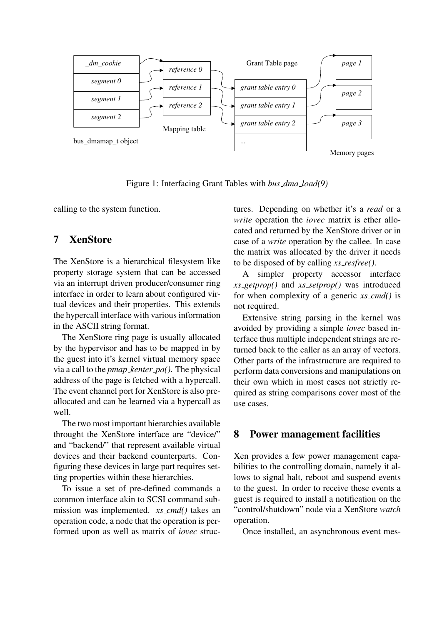

Figure 1: Interfacing Grant Tables with *bus dma load(9)*

calling to the system function.

# 7 XenStore

The XenStore is a hierarchical filesystem like property storage system that can be accessed via an interrupt driven producer/consumer ring interface in order to learn about configured virtual devices and their properties. This extends the hypercall interface with various information in the ASCII string format.

The XenStore ring page is usually allocated by the hypervisor and has to be mapped in by the guest into it's kernel virtual memory space via a call to the *pmap kenter pa()*. The physical address of the page is fetched with a hypercall. The event channel port for XenStore is also preallocated and can be learned via a hypercall as well.

The two most important hierarchies available throught the XenStore interface are "device/" and "backend/" that represent available virtual devices and their backend counterparts. Configuring these devices in large part requires setting properties within these hierarchies.

To issue a set of pre-defined commands a common interface akin to SCSI command submission was implemented. *xs cmd()* takes an operation code, a node that the operation is performed upon as well as matrix of *iovec* structures. Depending on whether it's a *read* or a *write* operation the *iovec* matrix is ether allocated and returned by the XenStore driver or in case of a *write* operation by the callee. In case the matrix was allocated by the driver it needs to be disposed of by calling *xs resfree()*.

A simpler property accessor interface *xs getprop()* and *xs setprop()* was introduced for when complexity of a generic *xs cmd()* is not required.

Extensive string parsing in the kernel was avoided by providing a simple *iovec* based interface thus multiple independent strings are returned back to the caller as an array of vectors. Other parts of the infrastructure are required to perform data conversions and manipulations on their own which in most cases not strictly required as string comparisons cover most of the use cases.

### 8 Power management facilities

Xen provides a few power management capabilities to the controlling domain, namely it allows to signal halt, reboot and suspend events to the guest. In order to receive these events a guest is required to install a notification on the "control/shutdown" node via a XenStore *watch* operation.

Once installed, an asynchronous event mes-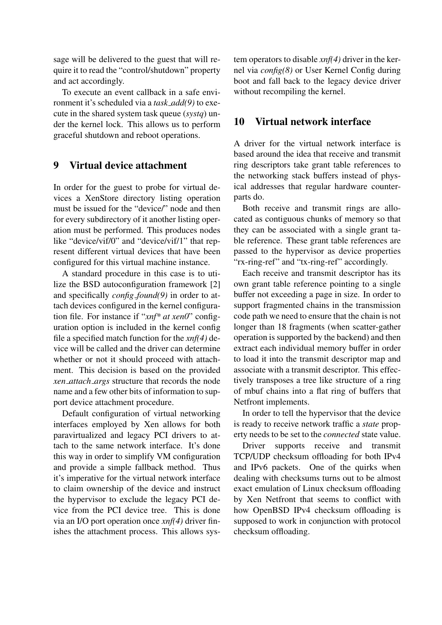sage will be delivered to the guest that will require it to read the "control/shutdown" property and act accordingly.

To execute an event callback in a safe environment it's scheduled via a *task add(9)* to execute in the shared system task queue (*systq*) under the kernel lock. This allows us to perform graceful shutdown and reboot operations.

### 9 Virtual device attachment

In order for the guest to probe for virtual devices a XenStore directory listing operation must be issued for the "device/" node and then for every subdirectory of it another listing operation must be performed. This produces nodes like "device/vif/0" and "device/vif/1" that represent different virtual devices that have been configured for this virtual machine instance.

A standard procedure in this case is to utilize the BSD autoconfiguration framework [2] and specifically *config found(9)* in order to attach devices configured in the kernel configuration file. For instance if "*xnf\* at xen0*" configuration option is included in the kernel config file a specified match function for the *xnf(4)* device will be called and the driver can determine whether or not it should proceed with attachment. This decision is based on the provided *xen attach args* structure that records the node name and a few other bits of information to support device attachment procedure.

Default configuration of virtual networking interfaces employed by Xen allows for both paravirtualized and legacy PCI drivers to attach to the same network interface. It's done this way in order to simplify VM configuration and provide a simple fallback method. Thus it's imperative for the virtual network interface to claim ownership of the device and instruct the hypervisor to exclude the legacy PCI device from the PCI device tree. This is done via an I/O port operation once *xnf(4)* driver finishes the attachment process. This allows sys-

tem operators to disable *xnf(4)* driver in the kernel via *config(8)* or User Kernel Config during boot and fall back to the legacy device driver without recompiling the kernel.

## 10 Virtual network interface

A driver for the virtual network interface is based around the idea that receive and transmit ring descriptors take grant table references to the networking stack buffers instead of physical addresses that regular hardware counterparts do.

Both receive and transmit rings are allocated as contiguous chunks of memory so that they can be associated with a single grant table reference. These grant table references are passed to the hypervisor as device properties "rx-ring-ref" and "tx-ring-ref" accordingly.

Each receive and transmit descriptor has its own grant table reference pointing to a single buffer not exceeding a page in size. In order to support fragmented chains in the transmission code path we need to ensure that the chain is not longer than 18 fragments (when scatter-gather operation is supported by the backend) and then extract each individual memory buffer in order to load it into the transmit descriptor map and associate with a transmit descriptor. This effectively transposes a tree like structure of a ring of mbuf chains into a flat ring of buffers that Netfront implements.

In order to tell the hypervisor that the device is ready to receive network traffic a *state* property needs to be set to the *connected* state value.

Driver supports receive and transmit TCP/UDP checksum offloading for both IPv4 and IPv6 packets. One of the quirks when dealing with checksums turns out to be almost exact emulation of Linux checksum offloading by Xen Netfront that seems to conflict with how OpenBSD IPv4 checksum offloading is supposed to work in conjunction with protocol checksum offloading.